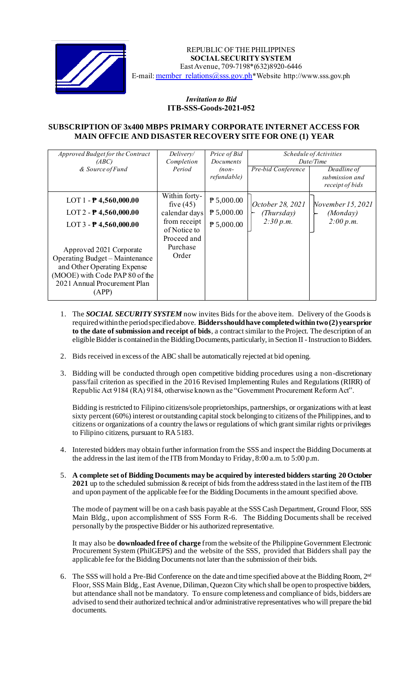

REPUBLIC OF THE PHILIPPINES  **SOCIAL SECURITY SYSTEM** East Avenue, 709-7198\*(632)8920-6446 E-mail: [member\\_relations@sss.gov.ph](mailto:member_relations@sss.gov.ph)\*Website http://www.sss.gov.ph

## *Invitation to Bid*  **ITB-SSS-Goods-2021-052**

## **SUBSCRIPTION OF 3x400 MBPS PRIMARY CORPORATE INTERNET ACCESS FOR MAIN OFFCIE AND DISASTER RECOVERY SITE FOR ONE (1) YEAR**

| Approved Budget for the Contract | Delivery/     | Price of Bid        | <i>Schedule of Activities</i> |                   |
|----------------------------------|---------------|---------------------|-------------------------------|-------------------|
| (ABC)                            | Completion    | Documents           | Date/Time                     |                   |
| & Source of Fund                 | Period        | $(non-$             | Pre-bid Conference            | Deadline of       |
|                                  |               | refundable)         |                               | submission and    |
|                                  |               |                     |                               | receipt of bids   |
|                                  | Within forty- |                     |                               |                   |
| LOT 1 - $P$ 4,560,000.00         | five $(45)$   | $P$ 5,000.00        | October 28, 2021              | November 15, 2021 |
| LOT 2 - $P$ 4,560,000.00         | calendar days | $P$ 5,000.00        | (Thursday)                    | (Monday)          |
| LOT $3 - P$ 4,560,000.00         | from receipt  | $\uparrow$ 5,000.00 | 2:30 p.m.                     | 2:00 p.m.         |
|                                  | of Notice to  |                     |                               |                   |
|                                  | Proceed and   |                     |                               |                   |
| Approved 2021 Corporate          | Purchase      |                     |                               |                   |
| Operating Budget – Maintenance   | Order         |                     |                               |                   |
|                                  |               |                     |                               |                   |
| and Other Operating Expense      |               |                     |                               |                   |
| (MOOE) with Code PAP 80 of the   |               |                     |                               |                   |
| 2021 Annual Procurement Plan     |               |                     |                               |                   |
| (APP)                            |               |                     |                               |                   |
|                                  |               |                     |                               |                   |

- 1. The *SOCIAL SECURITY SYSTEM* now invites Bids for the above item. Delivery of the Goods is required within the period specified above. **Bidders should have completed within two(2) years prior to the date of submission and receipt of bids**, a contract similar to the Project. The description of an eligible Bidder is contained in the Bidding Documents, particularly, in Section II -Instruction to Bidders.
- 2. Bids received in excess of the ABC shall be automatically rejected at bid opening.
- 3. Bidding will be conducted through open competitive bidding procedures using a non-discretionary pass/fail criterion as specified in the 2016 Revised Implementing Rules and Regulations (RIRR) of Republic Act 9184 (RA) 9184, otherwise known as the "Government Procurement Reform Act".

Bidding is restricted to Filipino citizens/sole proprietorships, partnerships, or organizations with at least sixty percent (60%) interest or outstanding capital stock belonging to citizens of the Philippines, and to citizens or organizations of a country the laws or regulations of which grant similar rights or privileges to Filipino citizens, pursuant to RA 5183.

- 4. Interested bidders may obtain further information from the SSS and inspect the Bidding Documents at the address in the last item of the ITB from Monday to Friday, 8:00 a.m. to 5:00 p.m.
- 5. **A complete set of Bidding Documents may be acquired by interested bidders starting 20 October 2021** up to the scheduled submission & receipt of bids from the address stated in the lastitem of the ITB and upon payment of the applicable fee for the Bidding Documents in the amount specified above.

The mode of payment will be on a cash basis payable at the SSS Cash Department, Ground Floor, SSS Main Bldg., upon accomplishment of SSS Form R-6. The Bidding Documents shall be received personally by the prospective Bidder or his authorized representative.

It may also be **downloaded free of charge** from the website of the Philippine Government Electronic Procurement System (PhilGEPS) and the website of the SSS*,* provided that Bidders shall pay the applicable fee for the Bidding Documents not later than the submission of their bids.

6. The SSS will hold a Pre-Bid Conference on the date and time specified above at the Bidding Room, 2<sup>nd</sup> Floor, SSS Main Bldg., East Avenue, Diliman, Quezon City which shall be open to prospective bidders, but attendance shall not be mandatory. To ensure completeness and compliance of bids, bidders are advised to send their authorized technical and/or administrative representatives who will prepare the bid documents.